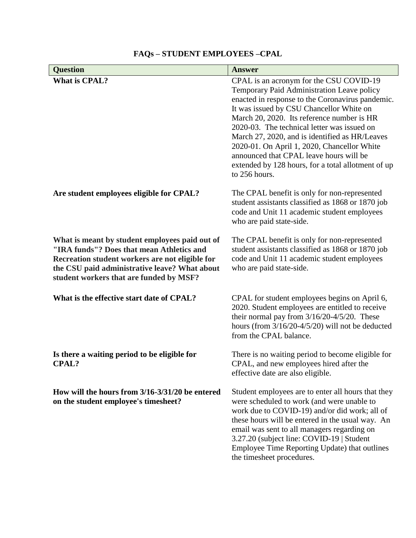| <b>Question</b>                                                                                                                                                                                                                            | <b>Answer</b>                                                                                                                                                                                                                                                                                                                                                                                                                                                                                         |
|--------------------------------------------------------------------------------------------------------------------------------------------------------------------------------------------------------------------------------------------|-------------------------------------------------------------------------------------------------------------------------------------------------------------------------------------------------------------------------------------------------------------------------------------------------------------------------------------------------------------------------------------------------------------------------------------------------------------------------------------------------------|
| <b>What is CPAL?</b>                                                                                                                                                                                                                       | CPAL is an acronym for the CSU COVID-19<br>Temporary Paid Administration Leave policy<br>enacted in response to the Coronavirus pandemic.<br>It was issued by CSU Chancellor White on<br>March 20, 2020. Its reference number is HR<br>2020-03. The technical letter was issued on<br>March 27, 2020, and is identified as HR/Leaves<br>2020-01. On April 1, 2020, Chancellor White<br>announced that CPAL leave hours will be<br>extended by 128 hours, for a total allotment of up<br>to 256 hours. |
| Are student employees eligible for CPAL?                                                                                                                                                                                                   | The CPAL benefit is only for non-represented<br>student assistants classified as 1868 or 1870 job<br>code and Unit 11 academic student employees<br>who are paid state-side.                                                                                                                                                                                                                                                                                                                          |
| What is meant by student employees paid out of<br>"IRA funds"? Does that mean Athletics and<br>Recreation student workers are not eligible for<br>the CSU paid administrative leave? What about<br>student workers that are funded by MSF? | The CPAL benefit is only for non-represented<br>student assistants classified as 1868 or 1870 job<br>code and Unit 11 academic student employees<br>who are paid state-side.                                                                                                                                                                                                                                                                                                                          |
| What is the effective start date of CPAL?                                                                                                                                                                                                  | CPAL for student employees begins on April 6,<br>2020. Student employees are entitled to receive<br>their normal pay from $3/16/20-4/5/20$ . These<br>hours (from $3/16/20-4/5/20$ ) will not be deducted<br>from the CPAL balance.                                                                                                                                                                                                                                                                   |
| Is there a waiting period to be eligible for<br><b>CPAL?</b>                                                                                                                                                                               | There is no waiting period to become eligible for<br>CPAL, and new employees hired after the<br>effective date are also eligible.                                                                                                                                                                                                                                                                                                                                                                     |
| How will the hours from 3/16-3/31/20 be entered<br>on the student employee's timesheet?                                                                                                                                                    | Student employees are to enter all hours that they<br>were scheduled to work (and were unable to<br>work due to COVID-19) and/or did work; all of<br>these hours will be entered in the usual way. An<br>email was sent to all managers regarding on<br>3.27.20 (subject line: COVID-19   Student<br>Employee Time Reporting Update) that outlines<br>the timesheet procedures.                                                                                                                       |

## **FAQs – STUDENT EMPLOYEES –CPAL**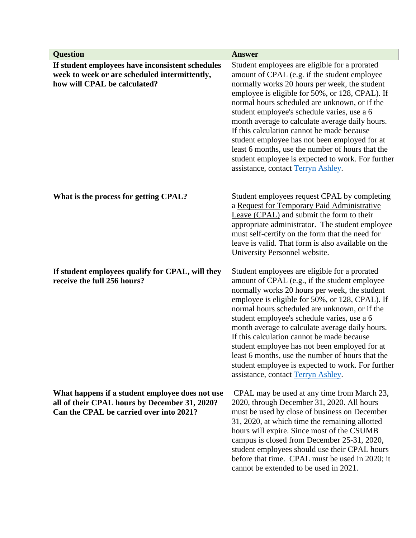| <b>Question</b>                                                                                                                             | <b>Answer</b>                                                                                                                                                                                                                                                                                                                                                                                                                                                                                                                                                                                       |
|---------------------------------------------------------------------------------------------------------------------------------------------|-----------------------------------------------------------------------------------------------------------------------------------------------------------------------------------------------------------------------------------------------------------------------------------------------------------------------------------------------------------------------------------------------------------------------------------------------------------------------------------------------------------------------------------------------------------------------------------------------------|
| If student employees have inconsistent schedules<br>week to week or are scheduled intermittently,<br>how will CPAL be calculated?           | Student employees are eligible for a prorated<br>amount of CPAL (e.g. if the student employee<br>normally works 20 hours per week, the student<br>employee is eligible for 50%, or 128, CPAL). If<br>normal hours scheduled are unknown, or if the<br>student employee's schedule varies, use a 6<br>month average to calculate average daily hours.<br>If this calculation cannot be made because<br>student employee has not been employed for at<br>least 6 months, use the number of hours that the<br>student employee is expected to work. For further<br>assistance, contact Terryn Ashley.  |
| What is the process for getting CPAL?                                                                                                       | Student employees request CPAL by completing<br>a Request for Temporary Paid Administrative<br>Leave (CPAL) and submit the form to their<br>appropriate administrator. The student employee<br>must self-certify on the form that the need for<br>leave is valid. That form is also available on the<br>University Personnel website.                                                                                                                                                                                                                                                               |
| If student employees qualify for CPAL, will they<br>receive the full 256 hours?                                                             | Student employees are eligible for a prorated<br>amount of CPAL (e.g., if the student employee<br>normally works 20 hours per week, the student<br>employee is eligible for 50%, or 128, CPAL). If<br>normal hours scheduled are unknown, or if the<br>student employee's schedule varies, use a 6<br>month average to calculate average daily hours.<br>If this calculation cannot be made because<br>student employee has not been employed for at<br>least 6 months, use the number of hours that the<br>student employee is expected to work. For further<br>assistance, contact Terryn Ashley. |
| What happens if a student employee does not use<br>all of their CPAL hours by December 31, 2020?<br>Can the CPAL be carried over into 2021? | CPAL may be used at any time from March 23,<br>2020, through December 31, 2020. All hours<br>must be used by close of business on December<br>31, 2020, at which time the remaining allotted<br>hours will expire. Since most of the CSUMB<br>campus is closed from December 25-31, 2020,<br>student employees should use their CPAL hours<br>before that time. CPAL must be used in 2020; it<br>cannot be extended to be used in 2021.                                                                                                                                                             |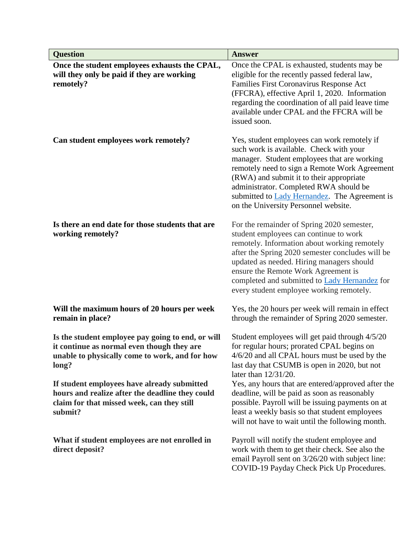| <b>Question</b>                                                                                                                                            | <b>Answer</b>                                                                                                                                                                                                                                                                                                                                                             |
|------------------------------------------------------------------------------------------------------------------------------------------------------------|---------------------------------------------------------------------------------------------------------------------------------------------------------------------------------------------------------------------------------------------------------------------------------------------------------------------------------------------------------------------------|
| Once the student employees exhausts the CPAL,<br>will they only be paid if they are working<br>remotely?                                                   | Once the CPAL is exhausted, students may be<br>eligible for the recently passed federal law,<br>Families First Coronavirus Response Act<br>(FFCRA), effective April 1, 2020. Information<br>regarding the coordination of all paid leave time<br>available under CPAL and the FFCRA will be<br>issued soon.                                                               |
| Can student employees work remotely?                                                                                                                       | Yes, student employees can work remotely if<br>such work is available. Check with your<br>manager. Student employees that are working<br>remotely need to sign a Remote Work Agreement<br>(RWA) and submit it to their appropriate<br>administrator. Completed RWA should be<br>submitted to Lady Hernandez. The Agreement is<br>on the University Personnel website.     |
| Is there an end date for those students that are<br>working remotely?                                                                                      | For the remainder of Spring 2020 semester,<br>student employees can continue to work<br>remotely. Information about working remotely<br>after the Spring 2020 semester concludes will be<br>updated as needed. Hiring managers should<br>ensure the Remote Work Agreement is<br>completed and submitted to Lady Hernandez for<br>every student employee working remotely. |
| Will the maximum hours of 20 hours per week<br>remain in place?                                                                                            | Yes, the 20 hours per week will remain in effect<br>through the remainder of Spring 2020 semester.                                                                                                                                                                                                                                                                        |
| Is the student employee pay going to end, or will<br>it continue as normal even though they are<br>unable to physically come to work, and for how<br>long? | Student employees will get paid through 4/5/20<br>for regular hours; prorated CPAL begins on<br>4/6/20 and all CPAL hours must be used by the<br>last day that CSUMB is open in 2020, but not<br>later than 12/31/20.                                                                                                                                                     |
| If student employees have already submitted<br>hours and realize after the deadline they could<br>claim for that missed week, can they still<br>submit?    | Yes, any hours that are entered/approved after the<br>deadline, will be paid as soon as reasonably<br>possible. Payroll will be issuing payments on at<br>least a weekly basis so that student employees<br>will not have to wait until the following month.                                                                                                              |
| What if student employees are not enrolled in<br>direct deposit?                                                                                           | Payroll will notify the student employee and<br>work with them to get their check. See also the<br>email Payroll sent on 3/26/20 with subject line:<br>COVID-19 Payday Check Pick Up Procedures.                                                                                                                                                                          |